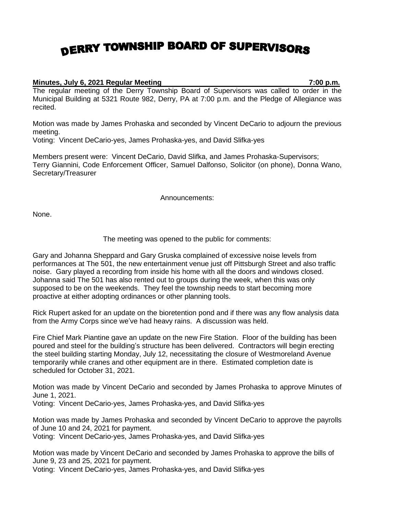## DERRY TOWNSHIP BOARD OF SUPERVISORS

## **Minutes, July 6, 2021 Regular Meeting 7:00 p.m.**

The regular meeting of the Derry Township Board of Supervisors was called to order in the Municipal Building at 5321 Route 982, Derry, PA at 7:00 p.m. and the Pledge of Allegiance was recited.

Motion was made by James Prohaska and seconded by Vincent DeCario to adjourn the previous meeting.

Voting: Vincent DeCario-yes, James Prohaska-yes, and David Slifka-yes

Members present were: Vincent DeCario, David Slifka, and James Prohaska-Supervisors; Terry Giannini, Code Enforcement Officer, Samuel Dalfonso, Solicitor (on phone), Donna Wano, Secretary/Treasurer

Announcements:

None.

The meeting was opened to the public for comments:

Gary and Johanna Sheppard and Gary Gruska complained of excessive noise levels from performances at The 501, the new entertainment venue just off Pittsburgh Street and also traffic noise. Gary played a recording from inside his home with all the doors and windows closed. Johanna said The 501 has also rented out to groups during the week, when this was only supposed to be on the weekends. They feel the township needs to start becoming more proactive at either adopting ordinances or other planning tools.

Rick Rupert asked for an update on the bioretention pond and if there was any flow analysis data from the Army Corps since we've had heavy rains. A discussion was held.

Fire Chief Mark Piantine gave an update on the new Fire Station. Floor of the building has been poured and steel for the building's structure has been delivered. Contractors will begin erecting the steel building starting Monday, July 12, necessitating the closure of Westmoreland Avenue temporarily while cranes and other equipment are in there. Estimated completion date is scheduled for October 31, 2021.

Motion was made by Vincent DeCario and seconded by James Prohaska to approve Minutes of June 1, 2021.

Voting: Vincent DeCario-yes, James Prohaska-yes, and David Slifka-yes

Motion was made by James Prohaska and seconded by Vincent DeCario to approve the payrolls of June 10 and 24, 2021 for payment.

Voting: Vincent DeCario-yes, James Prohaska-yes, and David Slifka-yes

Motion was made by Vincent DeCario and seconded by James Prohaska to approve the bills of June 9, 23 and 25, 2021 for payment.

Voting: Vincent DeCario-yes, James Prohaska-yes, and David Slifka-yes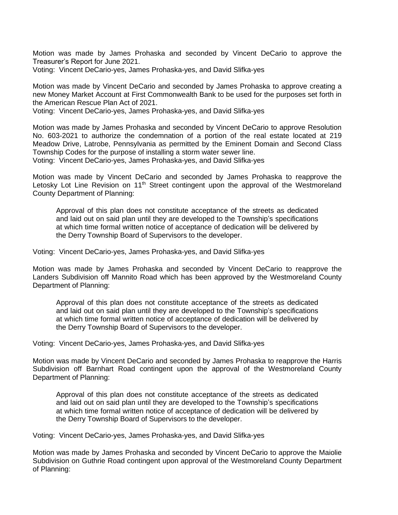Motion was made by James Prohaska and seconded by Vincent DeCario to approve the Treasurer's Report for June 2021.

Voting: Vincent DeCario-yes, James Prohaska-yes, and David Slifka-yes

Motion was made by Vincent DeCario and seconded by James Prohaska to approve creating a new Money Market Account at First Commonwealth Bank to be used for the purposes set forth in the American Rescue Plan Act of 2021.

Voting: Vincent DeCario-yes, James Prohaska-yes, and David Slifka-yes

Motion was made by James Prohaska and seconded by Vincent DeCario to approve Resolution No. 603-2021 to authorize the condemnation of a portion of the real estate located at 219 Meadow Drive, Latrobe, Pennsylvania as permitted by the Eminent Domain and Second Class Township Codes for the purpose of installing a storm water sewer line.

Voting: Vincent DeCario-yes, James Prohaska-yes, and David Slifka-yes

Motion was made by Vincent DeCario and seconded by James Prohaska to reapprove the Letosky Lot Line Revision on 11<sup>th</sup> Street contingent upon the approval of the Westmoreland County Department of Planning:

Approval of this plan does not constitute acceptance of the streets as dedicated and laid out on said plan until they are developed to the Township's specifications at which time formal written notice of acceptance of dedication will be delivered by the Derry Township Board of Supervisors to the developer.

Voting: Vincent DeCario-yes, James Prohaska-yes, and David Slifka-yes

Motion was made by James Prohaska and seconded by Vincent DeCario to reapprove the Landers Subdivision off Mannito Road which has been approved by the Westmoreland County Department of Planning:

Approval of this plan does not constitute acceptance of the streets as dedicated and laid out on said plan until they are developed to the Township's specifications at which time formal written notice of acceptance of dedication will be delivered by the Derry Township Board of Supervisors to the developer.

Voting: Vincent DeCario-yes, James Prohaska-yes, and David Slifka-yes

Motion was made by Vincent DeCario and seconded by James Prohaska to reapprove the Harris Subdivision off Barnhart Road contingent upon the approval of the Westmoreland County Department of Planning:

Approval of this plan does not constitute acceptance of the streets as dedicated and laid out on said plan until they are developed to the Township's specifications at which time formal written notice of acceptance of dedication will be delivered by the Derry Township Board of Supervisors to the developer.

Voting: Vincent DeCario-yes, James Prohaska-yes, and David Slifka-yes

Motion was made by James Prohaska and seconded by Vincent DeCario to approve the Maiolie Subdivision on Guthrie Road contingent upon approval of the Westmoreland County Department of Planning: